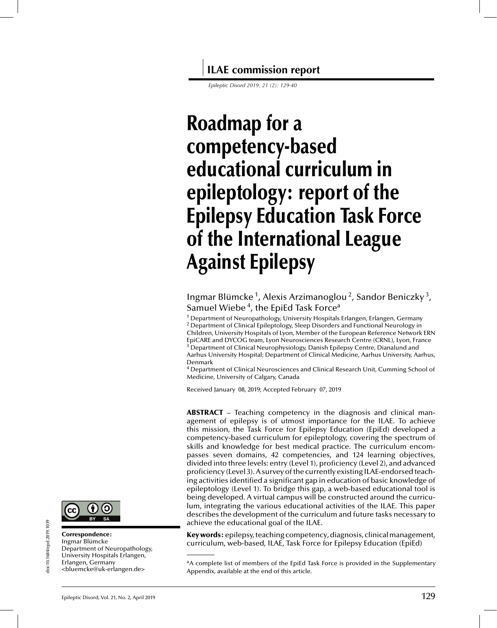**ILAE commission report**

*Epileptic Disord 2019; 21 (2): 129-40*

# **Roadmap for a competency-based educational curriculum in epileptology: report of the Epilepsy Education Task Force of the International League Against Epilepsy**

Ingmar Blümcke<sup>1</sup>, Alexis Arzimanoglou<sup>2</sup>, Sandor Beniczky<sup>3</sup>, Samuel Wiebe<sup>4</sup>, the EpiEd Task Force<sup>a</sup>

<sup>1</sup> Department of Neuropathology, University Hospitals Erlangen, Erlangen, Germany  $2$  Department of Clinical Epileptology, Sleep Disorders and Functional Neurology in Children, University Hospitals of Lyon, Member of the European Reference Network ERN EpiCARE and DYCOG team, Lyon Neurosciences Research Centre (CRNL), Lyon, France <sup>3</sup> Department of Clinical Neurophysiology, Danish Epilepsy Centre, Dianalund and Aarhus University Hospital; Department of Clinical Medicine, Aarhus University, Aarhus, Denmark

<sup>4</sup> Department of Clinical Neurosciences and Clinical Research Unit, Cumming School of Medicine, University of Calgary, Canada

Received January 08, 2019; Accepted February 07, 2019

ABSTRACT – Teaching competency in the diagnosis and clinical management of epilepsy is of utmost importance for the ILAE. To achieve this mission, the Task Force for Epilepsy Education (EpiEd) developed a competency-based curriculum for epileptology, covering the spectrum of skills and knowledge for best medical practice. The curriculum encompasses seven domains, 42 competencies, and 124 learning objectives, divided into three levels: entry (Level 1), proficiency (Level 2), and advanced proficiency (Level 3). A survey of the currently existing ILAE-endorsed teaching activities identified a significant gap in education of basic knowledge of epileptology (Level 1). To bridge this gap, a web-based educational tool is being developed. A virtual campus will be constructed around the curriculum, integrating the various educational activities of the ILAE. This paper describes the development of the curriculum and future tasks necessary to achieve the educational goal of the ILAE.

Key words: epilepsy, teaching competency, diagnosis, clinicalmanagement, curriculum, web-based, ILAE, Task Force for Epilepsy Education (EpiEd)



Correspondence: Ingmar Blümcke

Erlangen, Germany

<bluemcke@uk-erlangen.de>

Department of Neuropathology, University Hospitals Erlangen,

<sup>&</sup>lt;sup>a</sup>A complete list of members of the EpiEd Task Force is provided in the Supplementary Appendix, available at the end of this article.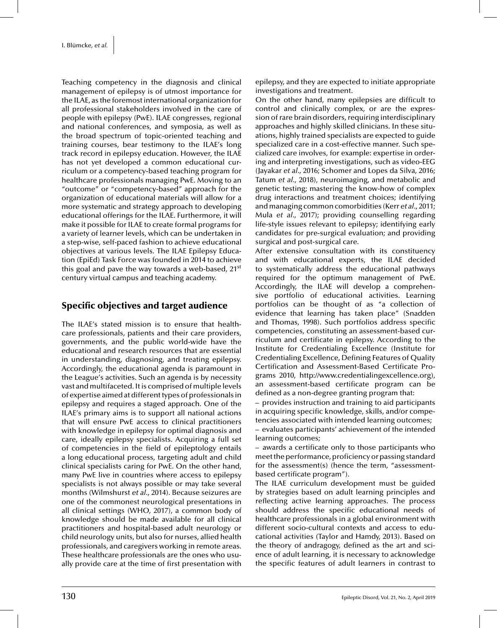Teaching competency in the diagnosis and clinical management of epilepsy is of utmost importance for the ILAE, as the foremost international organization for all professional stakeholders involved in the care of people with epilepsy (PwE). ILAE congresses, regional and national conferences, and symposia, as well as the broad spectrum of topic-oriented teaching and training courses, bear testimony to the ILAE's long track record in epilepsy education. However, the ILAE has not yet developed a common educational curriculum or a competency-based teaching program for healthcare professionals managing PwE. Moving to an "outcome" or "competency-based" approach for the organization of educational materials will allow for a more systematic and strategy approach to developing educational offerings for the ILAE. Furthermore, it will make it possible for ILAE to create formal programs for a variety of learner levels, which can be undertaken in a step-wise, self-paced fashion to achieve educational objectives at various levels. The ILAE Epilepsy Education (EpiEd) Task Force was founded in 2014 to achieve this goal and pave the way towards a web-based,  $21^{st}$ century virtual campus and teaching academy.

# Specific objectives and target audience

The ILAE's stated mission is to ensure that healthcare professionals, patients and their care providers, governments, and the public world-wide have the educational and research resources that are essential in understanding, diagnosing, and treating epilepsy. Accordingly, the educational agenda is paramount in the League's activities. Such an agenda is by necessity vast and multifaceted. It is comprised of multiple levels of expertise aimed at different types of professionals in epilepsy and requires a staged approach. One of the ILAE's primary aims is to support all national actions that will ensure PwE access to clinical practitioners with knowledge in epilepsy for optimal diagnosis and care, ideally epilepsy specialists. Acquiring a full set of competencies in the field of epileptology entails a long educational process, targeting adult and child clinical specialists caring for PwE. On the other hand, many PwE live in countries where access to epilepsy specialists is not always possible or may take several months (Wilmshurst *et al*., 2014). Because seizures are one of the commonest neurological presentations in all clinical settings (WHO, 2017), a common body of knowledge should be made available for all clinical practitioners and hospital-based adult neurology or child neurology units, but also for nurses, allied health professionals, and caregivers working in remote areas. These healthcare professionals are the ones who usually provide care at the time of first presentation with

epilepsy, and they are expected to initiate appropriate investigations and treatment.

On the other hand, many epilepsies are difficult to control and clinically complex, or are the expression of rare brain disorders, requiring interdisciplinary approaches and highly skilled clinicians. In these situations, highly trained specialists are expected to guide specialized care in a cost-effective manner. Such specialized care involves, for example: expertise in ordering and interpreting investigations, such as video-EEG (Jayakar *et al*., 2016; Schomer and Lopes da Silva, 2016; Tatum *et al.*, 2018), neuroimaging, and metabolic and genetic testing; mastering the know-how of complex drug interactions and treatment choices; identifying and managing common comorbidities (Kerr *et al*., 2011; Mula *et al*., 2017); providing counselling regarding life-style issues relevant to epilepsy; identifying early candidates for pre-surgical evaluation; and providing surgical and post-surgical care.

After extensive consultation with its constituency and with educational experts, the ILAE decided to systematically address the educational pathways required for the optimum management of PwE. Accordingly, the ILAE will develop a comprehensive portfolio of educational activities. Learning portfolios can be thought of as "a collection of evidence that learning has taken place" (Snadden and Thomas, 1998). Such portfolios address specific competencies, constituting an assessment-based curriculum and certificate in epilepsy. According to the Institute for Credentialing Excellence (Institute for Credentialing Excellence, Defining Features of Quality Certification and Assessment-Based Certificate Programs 2010, http://www.credentialingexcellence.org), an assessment-based certificate program can be defined as a non-degree granting program that:

– provides instruction and training to aid participants in acquiring specific knowledge, skills, and/or competencies associated with intended learning outcomes; – evaluates participants' achievement of the intended learning outcomes;

– awards a certificate only to those participants who meet the performance, proficiency or passing standard for the assessment(s) (hence the term, "assessmentbased certificate program").

The ILAE curriculum development must be guided by strategies based on adult learning principles and reflecting active learning approaches. The process should address the specific educational needs of healthcare professionals in a global environment with different socio-cultural contexts and access to educational activities (Taylor and Hamdy, 2013). Based on the theory of andragogy, defined as the art and science of adult learning, it is necessary to acknowledge the specific features of adult learners in contrast to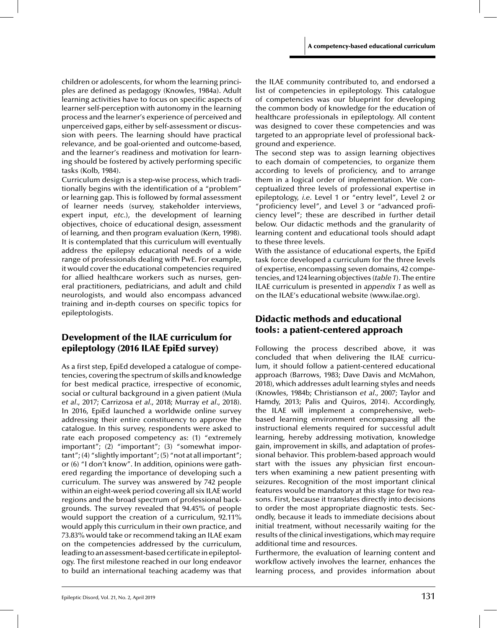children or adolescents, for whom the learning principles are defined as pedagogy (Knowles, 1984a). Adult learning activities have to focus on specific aspects of learner self-perception with autonomy in the learning process and the learner's experience of perceived and unperceived gaps, either by self-assessment or discussion with peers. The learning should have practical relevance, and be goal-oriented and outcome-based, and the learner's readiness and motivation for learning should be fostered by actively performing specific tasks (Kolb, 1984).

Curriculum design is a step-wise process, which traditionally begins with the identification of a "problem" or learning gap. This is followed by formal assessment of learner needs (survey, stakeholder interviews, expert input, *etc.*), the development of learning objectives, choice of educational design, assessment of learning, and then program evaluation (Kern, 1998). It is contemplated that this curriculum will eventually address the epilepsy educational needs of a wide range of professionals dealing with PwE. For example, it would cover the educational competencies required for allied healthcare workers such as nurses, general practitioners, pediatricians, and adult and child neurologists, and would also encompass advanced training and in-depth courses on specific topics for epileptologists.

# Development of the ILAE curriculum for epileptology (2016 ILAE EpiEd survey)

As a first step, EpiEd developed a catalogue of competencies, covering the spectrum of skills and knowledge for best medical practice, irrespective of economic, social or cultural background in a given patient (Mula *et al*., 2017; Carrizosa *et al*., 2018; Murray *et al*., 2018). In 2016, EpiEd launched a worldwide online survey addressing their entire constituency to approve the catalogue. In this survey, respondents were asked to rate each proposed competency as: (1) "extremely important"; (2) "important"; (3) "somewhat important"; (4) "slightly important"; (5) "not at all important"; or (6) "I don't know". In addition, opinions were gathered regarding the importance of developing such a curriculum. The survey was answered by 742 people within an eight-week period covering all six ILAE world regions and the broad spectrum of professional backgrounds. The survey revealed that 94.45% of people would support the creation of a curriculum, 92.11% would apply this curriculum in their own practice, and 73.83% would take or recommend taking an ILAE exam on the competencies addressed by the curriculum, leading to an assessment-based certificate in epileptology. The first milestone reached in our long endeavor to build an international teaching academy was that the ILAE community contributed to, and endorsed a list of competencies in epileptology. This catalogue of competencies was our blueprint for developing the common body of knowledge for the education of healthcare professionals in epileptology. All content was designed to cover these competencies and was targeted to an appropriate level of professional background and experience.

The second step was to assign learning objectives to each domain of competencies, to organize them according to levels of proficiency, and to arrange them in a logical order of implementation. We conceptualized three levels of professional expertise in epileptology, *i.e*. Level 1 or "entry level", Level 2 or "proficiency level", and Level 3 or "advanced proficiency level"; these are described in further detail below. Our didactic methods and the granularity of learning content and educational tools should adapt to these three levels.

With the assistance of educational experts, the EpiEd task force developed a curriculum for the three levels of expertise, encompassing seven domains, 42 competencies, and 124 learning objectives (*table 1*). The entire ILAE curriculum is presented in *appendix 1* as well as on the ILAE's educational website (www.ilae.org).

# Didactic methods and educational tools: a patient-centered approach

Following the process described above, it was concluded that when delivering the ILAE curriculum, it should follow a patient-centered educational approach (Barrows, 1983; Dave Davis and McMahon, 2018), which addresses adult learning styles and needs (Knowles, 1984b; Christianson *et al*., 2007; Taylor and Hamdy, 2013; Palis and Quiros, 2014). Accordingly, the ILAE will implement a comprehensive, webbased learning environment encompassing all the instructional elements required for successful adult learning, hereby addressing motivation, knowledge gain, improvement in skills, and adaptation of professional behavior. This problem-based approach would start with the issues any physician first encounters when examining a new patient presenting with seizures. Recognition of the most important clinical features would be mandatory at this stage for two reasons. First, because it translates directly into decisions to order the most appropriate diagnostic tests. Secondly, because it leads to immediate decisions about initial treatment, without necessarily waiting for the results of the clinical investigations, which may require additional time and resources.

Furthermore, the evaluation of learning content and workflow actively involves the learner, enhances the learning process, and provides information about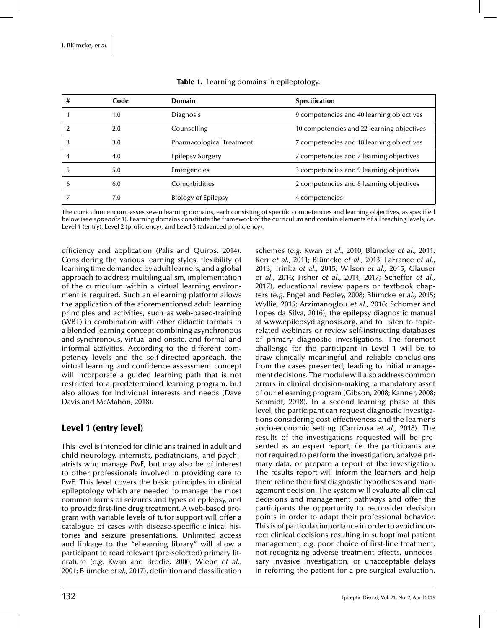| #  | Code | <b>Domain</b>              | <b>Specification</b>                       |
|----|------|----------------------------|--------------------------------------------|
|    | 1.0  | <b>Diagnosis</b>           | 9 competencies and 40 learning objectives  |
| ി  | 2.0  | Counselling                | 10 competencies and 22 learning objectives |
|    | 3.0  | Pharmacological Treatment  | 7 competencies and 18 learning objectives  |
|    | 4.0  | <b>Epilepsy Surgery</b>    | 7 competencies and 7 learning objectives   |
| .5 | 5.0  | Emergencies                | 3 competencies and 9 learning objectives   |
| 6  | 6.0  | Comorbidities              | 2 competencies and 8 learning objectives   |
|    | 7.0  | <b>Biology of Epilepsy</b> | 4 competencies                             |

### Table 1. Learning domains in epileptology.

The curriculum encompasses seven learning domains, each consisting of specific competencies and learning objectives, as specified below (*see appendix 1*). Learning domains constitute the framework of the curriculum and contain elements of all teaching levels, *i.e*. Level 1 (entry), Level 2 (proficiency), and Level 3 (advanced proficiency).

efficiency and application (Palis and Quiros, 2014). Considering the various learning styles, flexibility of learning time demanded by adult learners, and a global approach to address multilingualism, implementation of the curriculum within a virtual learning environment is required. Such an eLearning platform allows the application of the aforementioned adult learning principles and activities, such as web-based-training (WBT) in combination with other didactic formats in a blended learning concept combining asynchronous and synchronous, virtual and onsite, and formal and informal activities. According to the different competency levels and the self-directed approach, the virtual learning and confidence assessment concept will incorporate a guided learning path that is not restricted to a predetermined learning program, but also allows for individual interests and needs (Dave Davis and McMahon, 2018).

# Level 1 (entry level)

This level is intended for clinicians trained in adult and child neurology, internists, pediatricians, and psychiatrists who manage PwE, but may also be of interest to other professionals involved in providing care to PwE. This level covers the basic principles in clinical epileptology which are needed to manage the most common forms of seizures and types of epilepsy, and to provide first-line drug treatment. A web-based program with variable levels of tutor support will offer a catalogue of cases with disease-specific clinical histories and seizure presentations. Unlimited access and linkage to the "eLearning library" will allow a participant to read relevant (pre-selected) primary literature (*e.g.* Kwan and Brodie, 2000; Wiebe *et al.,* 2001; Blümcke *et al.,* 2017), definition and classification

2013; Trinka *et al.,* 2015; Wilson *et al.,* 2015; Glauser *et al.,* 2016; Fisher *et al.,* 2014, 2017; Scheffer *et al.,* 2017), educational review papers or textbook chapters (*e.g*. Engel and Pedley, 2008; Blümcke *et al.,* 2015; Wyllie, 2015; Arzimanoglou *et al.,* 2016; Schomer and Lopes da Silva, 2016), the epilepsy diagnostic manual at www.epilepsydiagnosis.org, and to listen to topicrelated webinars or review self-instructing databases of primary diagnostic investigations. The foremost challenge for the participant in Level 1 will be to draw clinically meaningful and reliable conclusions from the cases presented, leading to initial management decisions. The module will also address common errors in clinical decision-making, a mandatory asset of our eLearning program (Gibson, 2008; Kanner, 2008; Schmidt, 2018). In a second learning phase at this level, the participant can request diagnostic investigations considering cost-effectiveness and the learner's socio-economic setting (Carrizosa *et al.,* 2018). The results of the investigations requested will be presented as an expert report, *i.e*. the participants are not required to perform the investigation, analyze primary data, or prepare a report of the investigation. The results report will inform the learners and help them refine their first diagnostic hypotheses and management decision. The system will evaluate all clinical decisions and management pathways and offer the participants the opportunity to reconsider decision points in order to adapt their professional behavior. This is of particular importance in order to avoid incorrect clinical decisions resulting in suboptimal patient management, *e.g.* poor choice of first-line treatment, not recognizing adverse treatment effects, unnecessary invasive investigation, or unacceptable delays in referring the patient for a pre-surgical evaluation.

schemes (*e.g.* Kwan *et al.,* 2010; Blümcke *et al.,* 2011; Kerr *et al.,* 2011; Blümcke *et al.,* 2013; LaFrance *et al.,*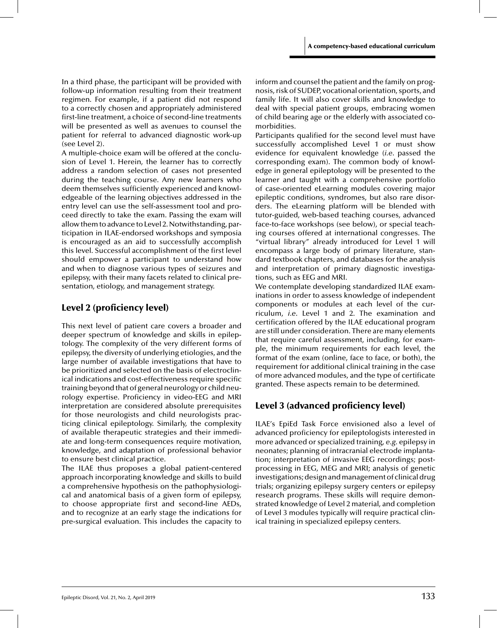In a third phase, the participant will be provided with follow-up information resulting from their treatment regimen. For example, if a patient did not respond to a correctly chosen and appropriately administered first-line treatment, a choice of second-line treatments will be presented as well as avenues to counsel the patient for referral to advanced diagnostic work-up (see Level 2).

A multiple-choice exam will be offered at the conclusion of Level 1. Herein, the learner has to correctly address a random selection of cases not presented during the teaching course. Any new learners who deem themselves sufficiently experienced and knowledgeable of the learning objectives addressed in the entry level can use the self-assessment tool and proceed directly to take the exam. Passing the exam will allow them to advance to Level 2. Notwithstanding, participation in ILAE-endorsed workshops and symposia is encouraged as an aid to successfully accomplish this level. Successful accomplishment of the first level should empower a participant to understand how and when to diagnose various types of seizures and epilepsy, with their many facets related to clinical presentation, etiology, and management strategy.

# Level 2 (proficiency level)

This next level of patient care covers a broader and deeper spectrum of knowledge and skills in epileptology. The complexity of the very different forms of epilepsy, the diversity of underlying etiologies, and the large number of available investigations that have to be prioritized and selected on the basis of electroclinical indications and cost-effectiveness require specific training beyond that of general neurology or child neurology expertise. Proficiency in video-EEG and MRI interpretation are considered absolute prerequisites for those neurologists and child neurologists practicing clinical epileptology. Similarly, the complexity of available therapeutic strategies and their immediate and long-term consequences require motivation, knowledge, and adaptation of professional behavior to ensure best clinical practice.

The ILAE thus proposes a global patient-centered approach incorporating knowledge and skills to build a comprehensive hypothesis on the pathophysiological and anatomical basis of a given form of epilepsy, to choose appropriate first and second-line AEDs, and to recognize at an early stage the indications for pre-surgical evaluation. This includes the capacity to

inform and counsel the patient and the family on prognosis, risk of SUDEP, vocational orientation, sports, and family life. It will also cover skills and knowledge to deal with special patient groups, embracing women of child bearing age or the elderly with associated comorbidities.

Participants qualified for the second level must have successfully accomplished Level 1 or must show evidence for equivalent knowledge (*i.e*. passed the corresponding exam). The common body of knowledge in general epileptology will be presented to the learner and taught with a comprehensive portfolio of case-oriented eLearning modules covering major epileptic conditions, syndromes, but also rare disorders. The eLearning platform will be blended with tutor-guided, web-based teaching courses, advanced face-to-face workshops (see below), or special teaching courses offered at international congresses. The "virtual library" already introduced for Level 1 will encompass a large body of primary literature, standard textbook chapters, and databases for the analysis and interpretation of primary diagnostic investigations, such as EEG and MRI.

We contemplate developing standardized ILAE examinations in order to assess knowledge of independent components or modules at each level of the curriculum, *i.e*. Level 1 and 2. The examination and certification offered by the ILAE educational program are still under consideration. There are many elements that require careful assessment, including, for example, the minimum requirements for each level, the format of the exam (online, face to face, or both), the requirement for additional clinical training in the case of more advanced modules, and the type of certificate granted. These aspects remain to be determined.

# Level 3 (advanced proficiency level)

ILAE's EpiEd Task Force envisioned also a level of advanced proficiency for epileptologists interested in more advanced or specialized training, *e.g.* epilepsy in neonates; planning of intracranial electrode implantation; interpretation of invasive EEG recordings; postprocessing in EEG, MEG and MRI; analysis of genetic investigations; design and management of clinical drug trials; organizing epilepsy surgery centers or epilepsy research programs. These skills will require demonstrated knowledge of Level 2 material, and completion of Level 3 modules typically will require practical clinical training in specialized epilepsy centers.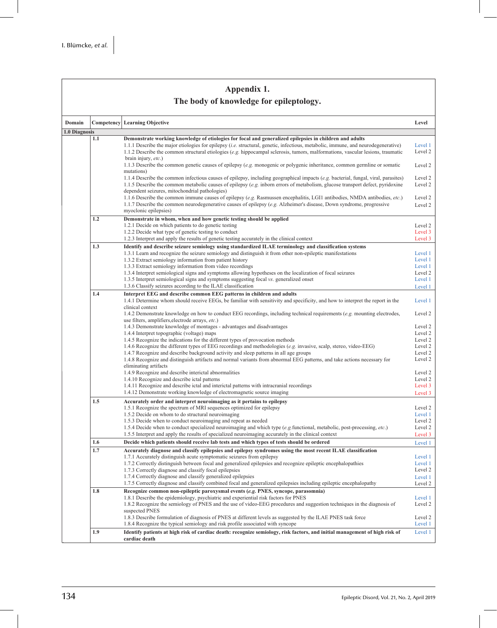| Appendix 1.                             |     |                                                                                                                                                                                                                                                     |                    |  |  |  |  |
|-----------------------------------------|-----|-----------------------------------------------------------------------------------------------------------------------------------------------------------------------------------------------------------------------------------------------------|--------------------|--|--|--|--|
| The body of knowledge for epileptology. |     |                                                                                                                                                                                                                                                     |                    |  |  |  |  |
|                                         |     |                                                                                                                                                                                                                                                     |                    |  |  |  |  |
| Domain                                  |     | <b>Competency</b> Learning Objective                                                                                                                                                                                                                | Level              |  |  |  |  |
| 1.0 Diagnosis                           |     |                                                                                                                                                                                                                                                     |                    |  |  |  |  |
|                                         | 1.1 | Demonstrate working knowledge of etiologies for focal and generalized epilepsies in children and adults<br>1.1.1 Describe the major etiologies for epilepsy <i>(i.e.</i> structural, genetic, infectious, metabolic, immune, and neurodegenerative) | Level 1            |  |  |  |  |
|                                         |     | 1.1.2 Describe the common structural etiologies (e.g. hippocampal sclerosis, tumors, malformations, vascular lesions, traumatic                                                                                                                     | Level 2            |  |  |  |  |
|                                         |     | brain injury, etc.)                                                                                                                                                                                                                                 |                    |  |  |  |  |
|                                         |     | 1.1.3 Describe the common genetic causes of epilepsy (e.g. monogenic or polygenic inheritance, common germline or somatic<br>mutations)                                                                                                             | Level 2            |  |  |  |  |
|                                         |     | 1.1.4 Describe the common infectious causes of epilepsy, including geographical impacts (e.g. bacterial, fungal, viral, parasites)                                                                                                                  | Level 2            |  |  |  |  |
|                                         |     | 1.1.5 Describe the common metabolic causes of epilepsy (e.g. inborn errors of metabolism, glucose transport defect, pyridoxine                                                                                                                      | Level 2            |  |  |  |  |
|                                         |     | dependent seizures, mitochondrial pathologies)                                                                                                                                                                                                      |                    |  |  |  |  |
|                                         |     | 1.1.6 Describe the common immune causes of epilepsy (e.g. Rasmussen encephalitis, LGI1 antibodies, NMDA antibodies, etc.)<br>1.1.7 Describe the common neurodegenerative causes of epilepsy (e.g. Alzheimer's disease, Down syndrome, progressive   | Level 2<br>Level 2 |  |  |  |  |
|                                         |     | myoclonic epilepsies)                                                                                                                                                                                                                               |                    |  |  |  |  |
|                                         | 1.2 | Demonstrate in whom, when and how genetic testing should be applied                                                                                                                                                                                 |                    |  |  |  |  |
|                                         |     | 1.2.1 Decide on which patients to do genetic testing                                                                                                                                                                                                | Level 2<br>Level 3 |  |  |  |  |
|                                         |     | 1.2.2 Decide what type of genetic testing to conduct<br>1.2.3 Interpret and apply the results of genetic testing accurately in the clinical context                                                                                                 | Level 3            |  |  |  |  |
|                                         | 1.3 | Identify and describe seizure semiology using standardized ILAE terminology and classification systems                                                                                                                                              |                    |  |  |  |  |
|                                         |     | 1.3.1 Learn and recognize the seizure semiology and distinguish it from other non-epileptic manifestations                                                                                                                                          | Level 1            |  |  |  |  |
|                                         |     | 1.3.2 Extract semiology information from patient history                                                                                                                                                                                            | Level 1<br>Level 1 |  |  |  |  |
|                                         |     | 1.3.3 Extract semiology information from video recordings<br>1.3.4 Interpret semiological signs and symptoms allowing hypotheses on the localization of focal seizures                                                                              | Level 2            |  |  |  |  |
|                                         |     | 1.3.5 Interpret semiological signs and symptoms suggesting focal vs. generalized onset                                                                                                                                                              | Level 1            |  |  |  |  |
|                                         |     | 1.3.6 Classify seizures according to the ILAE classification                                                                                                                                                                                        | Level 1            |  |  |  |  |
|                                         | 1.4 | Interpret EEG and describe common EEG patterns in children and adults<br>1.4.1 Determine whom should receive EEGs, be familiar with sensitivity and specificity, and how to interpret the report in the                                             | Level 1            |  |  |  |  |
|                                         |     | clinical context                                                                                                                                                                                                                                    |                    |  |  |  |  |
|                                         |     | 1.4.2 Demonstrate knowledge on how to conduct EEG recordings, including technical requirements (e.g. mounting electrodes,                                                                                                                           | Level 2            |  |  |  |  |
|                                         |     | use filters, amplifiers, electrode arrays, etc.)<br>1.4.3 Demonstrate knowledge of montages - advantages and disadvantages                                                                                                                          | Level 2            |  |  |  |  |
|                                         |     | 1.4.4 Interpret topographic (voltage) maps                                                                                                                                                                                                          | Level 2            |  |  |  |  |
|                                         |     | 1.4.5 Recognize the indications for the different types of provocation methods                                                                                                                                                                      | Level 2            |  |  |  |  |
|                                         |     | 1.4.6 Recognize the different types of EEG recordings and methodologies (e.g. invasive, scalp, stereo, video-EEG)<br>1.4.7 Recognize and describe background activity and sleep patterns in all age groups                                          | Level 2<br>Level 2 |  |  |  |  |
|                                         |     | 1.4.8 Recognize and distinguish artifacts and normal variants from abnormal EEG patterns, and take actions necessary for                                                                                                                            | Level 2            |  |  |  |  |
|                                         |     | eliminating artifacts                                                                                                                                                                                                                               |                    |  |  |  |  |
|                                         |     | 1.4.9 Recognize and describe interictal abnormalities                                                                                                                                                                                               | Level 2<br>Level 2 |  |  |  |  |
|                                         |     | 1.4.10 Recognize and describe ictal patterns<br>1.4.11 Recognize and describe ictal and interictal patterns with intracranial recordings                                                                                                            | Level 3            |  |  |  |  |
|                                         |     | 1.4.12 Demonstrate working knowledge of electromagnetic source imaging                                                                                                                                                                              | Level 3            |  |  |  |  |
|                                         | 1.5 | Accurately order and interpret neuroimaging as it pertains to epilepsy                                                                                                                                                                              |                    |  |  |  |  |
|                                         |     | 1.5.1 Recognize the spectrum of MRI sequences optimized for epilepsy                                                                                                                                                                                | Level 2            |  |  |  |  |
|                                         |     | 1.5.2 Decide on whom to do structural neuroimaging<br>1.5.3 Decide when to conduct neuroimaging and repeat as needed                                                                                                                                | Level 1<br>Level 2 |  |  |  |  |
|                                         |     | 1.5.4 Decide when to conduct specialized neuroimaging and which type (e.g. functional, metabolic, post-processing, etc.)                                                                                                                            | Level 2            |  |  |  |  |
|                                         |     | 1.5.5 Interpret and apply the results of specialized neuroimaging accurately in the clinical context                                                                                                                                                | Level 3            |  |  |  |  |
|                                         | 1.6 | Decide which patients should receive lab tests and which types of tests should be ordered                                                                                                                                                           | Level 1            |  |  |  |  |
|                                         | 1.7 | Accurately diagnose and classify epilepsies and epilepsy syndromes using the most recent ILAE classification<br>1.7.1 Accurately distinguish acute symptomatic seizures from epilepsy                                                               | Level 1            |  |  |  |  |
|                                         |     | 1.7.2 Correctly distinguish between focal and generalized epilepsies and recognize epileptic encephalopathies                                                                                                                                       | Level 1            |  |  |  |  |
|                                         |     | 1.7.3 Correctly diagnose and classify focal epilepsies                                                                                                                                                                                              | Level 2            |  |  |  |  |
|                                         |     | 1.7.4 Correctly diagnose and classify generalized epilepsies                                                                                                                                                                                        | Level 1            |  |  |  |  |
|                                         | 1.8 | 1.7.5 Correctly diagnose and classify combined focal and generalized epilepsies including epileptic encephalopathy<br>Recognize common non-epileptic paroxysmal events (e.g. PNES, syncope, parasomnia)                                             | Level 2            |  |  |  |  |
|                                         |     | 1.8.1 Describe the epidemiology, psychiatric and experiential risk factors for PNES                                                                                                                                                                 | Level 1            |  |  |  |  |
|                                         |     | 1.8.2 Recognize the semiology of PNES and the use of video-EEG procedures and suggestion techniques in the diagnosis of                                                                                                                             | Level 2            |  |  |  |  |
|                                         |     | suspected PNES<br>1.8.3 Describe formulation of diagnosis of PNES at different levels as suggested by the ILAE PNES task force                                                                                                                      | Level 2            |  |  |  |  |
|                                         |     | 1.8.4 Recognize the typical semiology and risk profile associated with syncope                                                                                                                                                                      | Level 1            |  |  |  |  |
|                                         | 1.9 | Identify patients at high risk of cardiac death: recognize semiology, risk factors, and initial management of high risk of                                                                                                                          | Level 1            |  |  |  |  |
|                                         |     | cardiac death                                                                                                                                                                                                                                       |                    |  |  |  |  |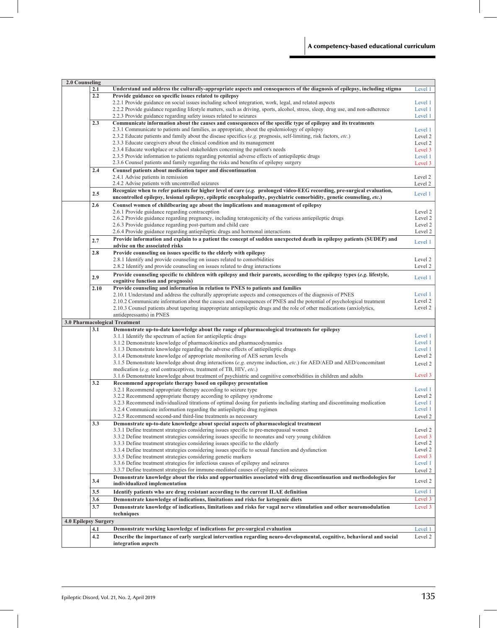| 2.0 Counseling       |                                                                                                                      |                                                                                                                                               |         |
|----------------------|----------------------------------------------------------------------------------------------------------------------|-----------------------------------------------------------------------------------------------------------------------------------------------|---------|
|                      | 2.1                                                                                                                  | Understand and address the culturally-appropriate aspects and consequences of the diagnosis of epilepsy, including stigma                     | Level 1 |
|                      | 2.2                                                                                                                  | Provide guidance on specific issues related to epilepsy                                                                                       |         |
|                      |                                                                                                                      | 2.2.1 Provide guidance on social issues including school integration, work, legal, and related aspects                                        | Level 1 |
|                      |                                                                                                                      | 2.2.2 Provide guidance regarding lifestyle matters, such as driving, sports, alcohol, stress, sleep, drug use, and non-adherence              | Level 1 |
|                      |                                                                                                                      | 2.2.3 Provide guidance regarding safety issues related to seizures                                                                            | Level 1 |
|                      | Communicate information about the causes and consequences of the specific type of epilepsy and its treatments<br>2.3 |                                                                                                                                               |         |
|                      |                                                                                                                      |                                                                                                                                               | Level 1 |
|                      |                                                                                                                      | 2.3.1 Communicate to patients and families, as appropriate, about the epidemiology of epilepsy                                                |         |
|                      |                                                                                                                      | 2.3.2 Educate patients and family about the disease specifics (e.g. prognosis, self-limiting, risk factors, etc.)                             | Level 2 |
|                      |                                                                                                                      | 2.3.3 Educate caregivers about the clinical condition and its management                                                                      | Level 2 |
|                      |                                                                                                                      | 2.3.4 Educate workplace or school stakeholders concerning the patient's needs                                                                 | Level 3 |
|                      |                                                                                                                      | 2.3.5 Provide information to patients regarding potential adverse effects of antiepileptic drugs                                              | Level 1 |
|                      |                                                                                                                      | 2.3.6 Counsel patients and family regarding the risks and benefits of epilepsy surgery                                                        | Level 3 |
|                      | 2.4                                                                                                                  | Counsel patients about medication taper and discontinuation                                                                                   |         |
|                      |                                                                                                                      | 2.4.1 Advise patients in remission                                                                                                            | Level 2 |
|                      |                                                                                                                      | 2.4.2 Advise patients with uncontrolled seizures                                                                                              | Level 2 |
|                      |                                                                                                                      | Recognize when to refer patients for higher level of care (e.g. prolonged video-EEG recording, pre-surgical evaluation,                       |         |
|                      | 2.5                                                                                                                  | uncontrolled epilepsy, lesional epilepsy, epileptic encephalopathy, psychiatric comorbidity, genetic counseling, etc.)                        | Level 1 |
|                      | 2.6                                                                                                                  | Counsel women of childbearing age about the implications and management of epilepsy                                                           |         |
|                      |                                                                                                                      | 2.6.1 Provide guidance regarding contraception                                                                                                | Level 2 |
|                      |                                                                                                                      | 2.6.2 Provide guidance regarding pregnancy, including teratogenicity of the various antiepileptic drugs                                       | Level 2 |
|                      |                                                                                                                      | 2.6.3 Provide guidance regarding post-partum and child care                                                                                   | Level 2 |
|                      |                                                                                                                      | 2.6.4 Provide guidance regarding antiepileptic drugs and hormonal interactions                                                                | Level 2 |
|                      |                                                                                                                      |                                                                                                                                               |         |
|                      | 2.7                                                                                                                  | Provide information and explain to a patient the concept of sudden unexpected death in epilepsy patients (SUDEP) and                          | Level 1 |
|                      |                                                                                                                      | advise on the associated risks                                                                                                                |         |
|                      | 2.8                                                                                                                  | Provide counseling on issues specific to the elderly with epilepsy                                                                            |         |
|                      |                                                                                                                      | 2.8.1 Identify and provide counseling on issues related to comorbidities                                                                      | Level 2 |
|                      |                                                                                                                      | 2.8.2 Identify and provide counseling on issues related to drug interactions                                                                  | Level 2 |
|                      |                                                                                                                      | Provide counseling specific to children with epilepsy and their parents, according to the epilepsy types (e.g. lifestyle,                     |         |
|                      | 2.9                                                                                                                  | cognitive function and prognosis)                                                                                                             | Level 1 |
|                      | 2.10                                                                                                                 | Provide counseling and information in relation to PNES to patients and families                                                               |         |
|                      |                                                                                                                      | 2.10.1 Understand and address the culturally appropriate aspects and consequences of the diagnosis of PNES                                    | Level 1 |
|                      |                                                                                                                      | 2.10.2 Communicate information about the causes and consequences of PNES and the potential of psychological treatment                         | Level 2 |
|                      |                                                                                                                      | 2.10.3 Counsel patients about tapering inappropriate antiepileptic drugs and the role of other medications (anxiolytics,                      | Level 2 |
|                      |                                                                                                                      |                                                                                                                                               |         |
|                      |                                                                                                                      |                                                                                                                                               |         |
|                      |                                                                                                                      | antidepressants) in PNES                                                                                                                      |         |
|                      |                                                                                                                      | 3.0 Pharmacological Treatment                                                                                                                 |         |
|                      | 3.1                                                                                                                  | Demonstrate up-to-date knowledge about the range of pharmacological treatments for epilepsy                                                   |         |
|                      |                                                                                                                      | 3.1.1 Identify the spectrum of action for antiepileptic drugs                                                                                 | Level 1 |
|                      |                                                                                                                      | 3.1.2 Demonstrate knowledge of pharmacokinetics and pharmacodynamics                                                                          | Level 1 |
|                      |                                                                                                                      | 3.1.3 Demonstrate knowledge regarding the adverse effects of antiepileptic drugs                                                              | Level 1 |
|                      |                                                                                                                      | 3.1.4 Demonstrate knowledge of appropriate monitoring of AES serum levels                                                                     | Level 2 |
|                      |                                                                                                                      | 3.1.5 Demonstrate knowledge about drug interactions (e.g. enzyme induction, etc.) for AED/AED and AED/concomitant                             | Level 2 |
|                      |                                                                                                                      | medication (e.g. oral contraceptives, treatment of TB, HIV, etc.)                                                                             |         |
|                      |                                                                                                                      | 3.1.6 Demonstrate knowledge about treatment of psychiatric and cognitive comorbidities in children and adults                                 | Level 3 |
|                      | 3.2                                                                                                                  | Recommend appropriate therapy based on epilepsy presentation                                                                                  |         |
|                      |                                                                                                                      | 3.2.1 Recommend appropriate therapy according to seizure type                                                                                 | Level 1 |
|                      |                                                                                                                      | 3.2.2 Recommend appropriate therapy according to epilepsy syndrome                                                                            | Level 2 |
|                      |                                                                                                                      | 3.2.3 Recommend individualized titrations of optimal dosing for patients including starting and discontinuing medication                      | Level 1 |
|                      |                                                                                                                      | 3.2.4 Communicate information regarding the antiepileptic drug regimen                                                                        | Level 1 |
|                      |                                                                                                                      | 3.2.5 Recommend second-and third-line treatments as necessary                                                                                 | Level 2 |
|                      | 3.3                                                                                                                  | Demonstrate up-to-date knowledge about special aspects of pharmacological treatment                                                           |         |
|                      |                                                                                                                      | 3.3.1 Define treatment strategies considering issues specific to pre-menopausal women                                                         | Level 2 |
|                      |                                                                                                                      | 3.3.2 Define treatment strategies considering issues specific to neonates and very young children                                             | Level 3 |
|                      |                                                                                                                      | 3.3.3 Define treatment strategies considering issues specific to the elderly                                                                  | Level 2 |
|                      |                                                                                                                      |                                                                                                                                               | Level 2 |
|                      |                                                                                                                      | 3.3.4 Define treatment strategies considering issues specific to sexual function and dysfunction                                              | Level 3 |
|                      |                                                                                                                      | 3.3.5 Define treatment strategies considering genetic markers                                                                                 | Level 1 |
|                      |                                                                                                                      | 3.3.6 Define treatment strategies for infectious causes of epilepsy and seizures                                                              |         |
|                      |                                                                                                                      | 3.3.7 Define treatment strategies for immune-mediated causes of epilepsy and seizures                                                         | Level 2 |
|                      | 3.4                                                                                                                  | Demonstrate knowledge about the risks and opportunities associated with drug discontinuation and methodologies for                            | Level 2 |
|                      |                                                                                                                      | individualized implementation                                                                                                                 |         |
|                      | 3.5                                                                                                                  | Identify patients who are drug resistant according to the current ILAE definition                                                             | Level 1 |
|                      | 3.6                                                                                                                  | Demonstrate knowledge of indications, limitations and risks for ketogenic diets                                                               | Level 3 |
|                      | 3.7                                                                                                                  | Demonstrate knowledge of indications, limitations and risks for vagal nerve stimulation and other neuromodulation                             | Level 3 |
|                      |                                                                                                                      | techniques                                                                                                                                    |         |
| 4.0 Epilepsy Surgery |                                                                                                                      |                                                                                                                                               |         |
|                      | 4.1                                                                                                                  | Demonstrate working knowledge of indications for pre-surgical evaluation                                                                      | Level 1 |
|                      |                                                                                                                      |                                                                                                                                               |         |
|                      | 4.2                                                                                                                  | Describe the importance of early surgical intervention regarding neuro-developmental, cognitive, behavioral and social<br>integration aspects | Level 2 |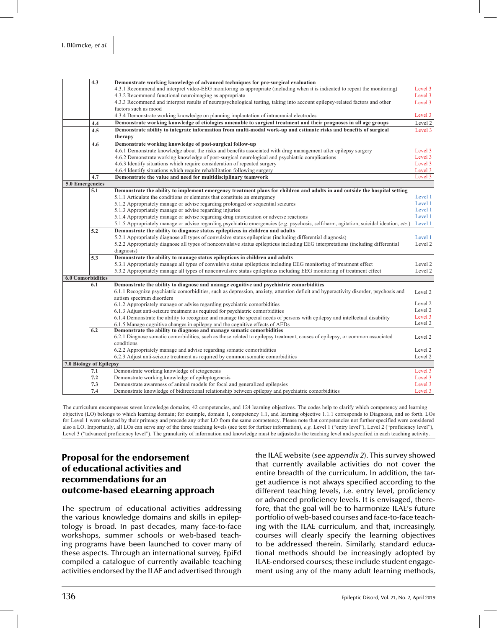|                          | $\overline{4.3}$ | Demonstrate working knowledge of advanced techniques for pre-surgical evaluation                                                       |         |  |  |
|--------------------------|------------------|----------------------------------------------------------------------------------------------------------------------------------------|---------|--|--|
|                          |                  | 4.3.1 Recommend and interpret video-EEG monitoring as appropriate (including when it is indicated to repeat the monitoring)            |         |  |  |
|                          |                  | 4.3.2 Recommend functional neuroimaging as appropriate                                                                                 |         |  |  |
|                          |                  | 4.3.3 Recommend and interpret results of neuropsychological testing, taking into account epilepsy-related factors and other            |         |  |  |
|                          |                  | factors such as mood                                                                                                                   |         |  |  |
|                          |                  | 4.3.4 Demonstrate working knowledge on planning implantation of intracranial electrodes                                                | Level 3 |  |  |
|                          | 4.4              | Demonstrate working knowledge of etiologies amenable to surgical treatment and their prognoses in all age groups                       | Level 2 |  |  |
|                          | 4.5              | Demonstrate ability to integrate information from multi-modal work-up and estimate risks and benefits of surgical                      | Level 3 |  |  |
|                          |                  | therapy                                                                                                                                |         |  |  |
|                          | 4.6              | Demonstrate working knowledge of post-surgical follow-up                                                                               |         |  |  |
|                          |                  | 4.6.1 Demonstrate knowledge about the risks and benefits associated with drug management after epilepsy surgery                        | Level 3 |  |  |
|                          |                  | 4.6.2 Demonstrate working knowledge of post-surgical neurological and psychiatric complications                                        | Level 3 |  |  |
|                          |                  | 4.6.3 Identify situations which require consideration of repeated surgery                                                              | Level 3 |  |  |
|                          |                  | 4.6.4 Identify situations which require rehabilitation following surgery                                                               | Level 3 |  |  |
|                          | 4.7              | Demonstrate the value and need for multidisciplinary teamwork                                                                          | Level 3 |  |  |
| 5.0 Emergencies          |                  |                                                                                                                                        |         |  |  |
|                          | 5.1              | Demonstrate the ability to implement emergency treatment plans for children and adults in and outside the hospital setting             |         |  |  |
|                          |                  | 5.1.1 Articulate the conditions or elements that constitute an emergency                                                               | Level 1 |  |  |
|                          |                  | 5.1.2 Appropriately manage or advise regarding prolonged or sequential seizures                                                        | Level 1 |  |  |
|                          |                  | 5.1.3 Appropriately manage or advise regarding injuries                                                                                | Level 1 |  |  |
|                          |                  | 5.1.4 Appropriately manage or advise regarding drug intoxication or adverse reactions                                                  | Level 1 |  |  |
|                          |                  | 5.1.5 Appropriately manage or advise regarding psychiatric emergencies (e.g. psychosis, self-harm, agitation, suicidal ideation, etc.) | Level 1 |  |  |
|                          | 5.2              | Demonstrate the ability to diagnose status epilepticus in children and adults                                                          |         |  |  |
|                          |                  | 5.2.1 Appropriately diagnose all types of convulsive status epilepticus (including differential diagnosis)                             | Level 1 |  |  |
|                          |                  | 5.2.2 Appropriately diagnose all types of nonconvulsive status epilepticus including EEG interpretations (including differential       | Level 2 |  |  |
|                          |                  | diagnosis)                                                                                                                             |         |  |  |
|                          | 5.3              | Demonstrate the ability to manage status epilepticus in children and adults                                                            |         |  |  |
|                          |                  | 5.3.1 Appropriately manage all types of convulsive status epilepticus including EEG monitoring of treatment effect                     | Level 2 |  |  |
|                          |                  | 5.3.2 Appropriately manage all types of nonconvulsive status epilepticus including EEG monitoring of treatment effect                  | Level 2 |  |  |
| <b>6.0 Comorbidities</b> |                  |                                                                                                                                        |         |  |  |
|                          | 6.1              | Demonstrate the ability to diagnose and manage cognitive and psychiatric comorbidities                                                 |         |  |  |
|                          |                  | 6.1.1 Recognize psychiatric comorbidities, such as depression, anxiety, attention deficit and hyperactivity disorder, psychosis and    | Level 2 |  |  |
|                          |                  | autism spectrum disorders                                                                                                              |         |  |  |
|                          |                  | 6.1.2 Appropriately manage or advise regarding psychiatric comorbidities                                                               | Level 2 |  |  |
|                          |                  | 6.1.3 Adjust anti-seizure treatment as required for psychiatric comorbidities                                                          | Level 2 |  |  |
|                          |                  | 6.1.4 Demonstrate the ability to recognize and manage the special needs of persons with epilepsy and intellectual disability           | Level 3 |  |  |
|                          |                  | 6.1.5 Manage cognitive changes in epilepsy and the cognitive effects of AEDs                                                           | Level 2 |  |  |
|                          | 6.2              | Demonstrate the ability to diagnose and manage somatic comorbidities                                                                   |         |  |  |
|                          |                  | 6.2.1 Diagnose somatic comorbidities, such as those related to epilepsy treatment, causes of epilepsy, or common associated            | Level 2 |  |  |
|                          |                  | conditions                                                                                                                             |         |  |  |
|                          |                  | 6.2.2 Appropriately manage and advise regarding somatic comorbidities                                                                  | Level 2 |  |  |
|                          |                  | 6.2.3 Adjust anti-seizure treatment as required by common somatic comorbidities                                                        | Level 2 |  |  |
| 7.0 Biology of Epilepsy  |                  |                                                                                                                                        |         |  |  |
|                          | 7.1              | Demonstrate working knowledge of ictogenesis                                                                                           | Level 3 |  |  |
|                          | 7.2              | Demonstrate working knowledge of epileptogenesis                                                                                       | Level 3 |  |  |
|                          | 7.3              | Demonstrate awareness of animal models for focal and generalized epilepsies                                                            | Level 3 |  |  |
|                          | 7.4              | Demonstrate knowledge of bidirectional relationship between epilepsy and psychiatric comorbidities                                     | Level 3 |  |  |

The curriculum encompasses seven knowledge domains, 42 competencies, and 124 learning objectives. The codes help to clarify which competency and learning objective (LO) belongs to which learning domain; for example, domain 1, competency 1.1, and learning objective 1.1.1 corresponds to Diagnosis, and so forth. LOs for Level 1 were selected by their primacy and precede any other LO from the same competency. Please note that competencies not further specified were considered also a LO. Importantly, all LOs can serve any of the three teaching levels (see text for further information), *e.g.* Level 1 ("entry level"), Level 2 ("proficiency level"), Level 3 ("advanced proficiency level"). The granularity of information and knowledge must be adjustedto the teaching level and specified in each teaching activity.

# Proposal for the endorsement of educational activities and recommendations for an outcome-based eLearning approach

The spectrum of educational activities addressing the various knowledge domains and skills in epileptology is broad. In past decades, many face-to-face workshops, summer schools or web-based teaching programs have been launched to cover many of these aspects. Through an international survey, EpiEd compiled a catalogue of currently available teaching activities endorsed by the ILAE and advertised through the ILAE website (*see appendix 2*). This survey showed that currently available activities do not cover the entire breadth of the curriculum. In addition, the target audience is not always specified according to the different teaching levels, *i.e*. entry level, proficiency or advanced proficiency levels. It is envisaged, therefore, that the goal will be to harmonize ILAE's future portfolio of web-based courses and face-to-face teaching with the ILAE curriculum, and that, increasingly, courses will clearly specify the learning objectives to be addressed therein. Similarly, standard educational methods should be increasingly adopted by ILAE-endorsed courses; these include student engagement using any of the many adult learning methods,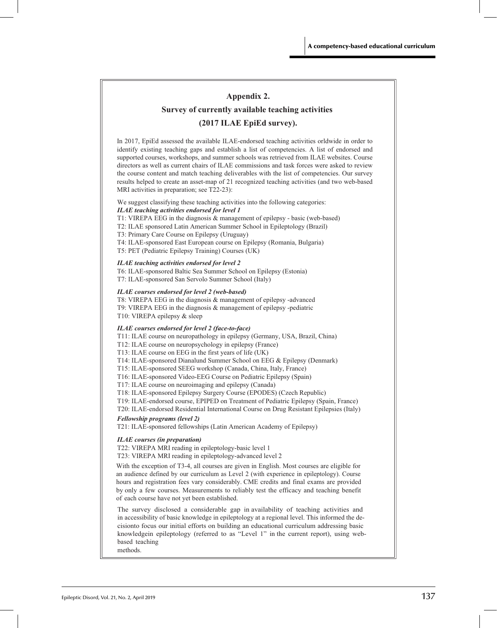## **Appendix 2.**

## **Survey of currently available teaching activities**

## **(2017 ILAE EpiEd survey).**

 In 2017, EpiEd assessed the available ILAE-endorsed teaching activities orldwide in order to identify existing teaching gaps and establish a list of competencies. A list of endorsed and supported courses, workshops, and summer schools was retrieved from ILAE websites. Course directors as well as current chairs of ILAE commissions and task forces were asked to review the course content and match teaching deliverables with the list of competencies. Our survey results helped to create an asset-map of 21 recognized teaching activities (and two web-based MRI activities in preparation; see T22-23):

#### We suggest classifying these teaching activities into the following categories: *ILAE teaching activities endorsed for level 1*

T1: VIREPA EEG in the diagnosis & management of epilepsy - basic (web-based)

T2: ILAE sponsored Latin American Summer School in Epileptology (Brazil)

- T3: Primary Care Course on Epilepsy (Uruguay)
- T4: ILAE-sponsored East European course on Epilepsy (Romania, Bulgaria)
- T5: PET (Pediatric Epilepsy Training) Courses (UK)

#### *ILAE teaching activities endorsed for level 2*

T6: ILAE-sponsored Baltic Sea Summer School on Epilepsy (Estonia) T7: ILAE-sponsored San Servolo Summer School (Italy)

#### *ILAE courses endorsed for level 2 (web-based)*

T8: VIREPA EEG in the diagnosis & management of epilepsy -advanced T9: VIREPA EEG in the diagnosis & management of epilepsy -pediatric T10: VIREPA epilepsy & sleep

#### *ILAE courses endorsed for level 2 (face-to-face)*

T11: ILAE course on neuropathology in epilepsy (Germany, USA, Brazil, China)

T12: ILAE course on neuropsychology in epilepsy (France)

T13: ILAE course on EEG in the first years of life (UK)

T14: ILAE-sponsored Dianalund Summer School on EEG & Epilepsy (Denmark)

T15: ILAE-sponsored SEEG workshop (Canada, China, Italy, France)

T16: ILAE-sponsored Video-EEG Course on Pediatric Epilepsy (Spain)

T17: ILAE course on neuroimaging and epilepsy (Canada)

T18: ILAE-sponsored Epilepsy Surgery Course (EPODES) (Czech Republic)

T19: ILAE-endorsed course, EPIPED on Treatment of Pediatric Epilepsy (Spain, France)

T20: ILAE-endorsed Residential International Course on Drug Resistant Epilepsies (Italy)

#### *Fellowship programs (level 2)*

T21: ILAE-sponsored fellowships (Latin American Academy of Epilepsy)

#### *ILAE courses (in preparation)*

T22: VIREPA MRI reading in epileptology-basic level 1

T23: VIREPA MRI reading in epileptology-advanced level 2

With the exception of T3-4, all courses are given in English. Most courses are eligible for an audience defined by our curriculum as Level 2 (with experience in epileptology). Course hours and registration fees vary considerably. CME credits and final exams are provided by only a few courses. Measurements to reliably test the efficacy and teaching benefit of each course have not yet been established.

The survey disclosed a considerable gap in availability of teaching activities and in accessibility of basic knowledge in epileptology at a regional level. This informed the decisionto focus our initial efforts on building an educational curriculum addressing basic knowledgein epileptology (referred to as "Level 1" in the current report), using webbased teaching methods.

Epileptic Disord, Vol. 21, No. 2, April 2019  $137$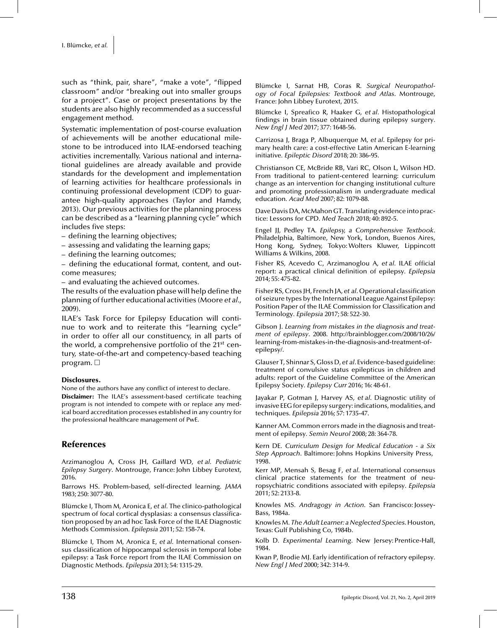such as "think, pair, share", "make a vote", "flipped classroom" and/or "breaking out into smaller groups for a project". Case or project presentations by the students are also highly recommended as a successful engagement method.

Systematic implementation of post-course evaluation of achievements will be another educational milestone to be introduced into ILAE-endorsed teaching activities incrementally. Various national and international guidelines are already available and provide standards for the development and implementation of learning activities for healthcare professionals in continuing professional development (CDP) to guarantee high-quality approaches (Taylor and Hamdy, 2013). Our previous activities for the planning process can be described as a "learning planning cycle" which includes five steps:

- defining the learning objectives;
- assessing and validating the learning gaps;
- defining the learning outcomes;

– defining the educational format, content, and outcome measures;

– and evaluating the achieved outcomes.

The results of the evaluation phase will help define the planning of further educational activities (Moore *et al.,* 2009).

ILAE's Task Force for Epilepsy Education will continue to work and to reiterate this "learning cycle" in order to offer all our constituency, in all parts of the world, a comprehensive portfolio of the 21<sup>st</sup> century, state-of-the-art and competency-based teaching program.  $\Box$ 

#### Disclosures.

None of the authors have any conflict of interest to declare. Disclaimer: The ILAE's assessment-based certificate teaching program is not intended to compete with or replace any medical board accreditation processes established in any country for the professional healthcare management of PwE.

## References

Arzimanoglou A, Cross JH, Gaillard WD, *et al. Pediatric Epilepsy Surgery*. Montrouge, France: John Libbey Eurotext, 2016.

Barrows HS. Problem-based, self-directed learning*. JAMA* 1983; 250: 3077-80.

Blümcke I, Thom M, Aronica E, *et al*. The clinico-pathological spectrum of focal cortical dysplasias: a consensus classification proposed by an ad hoc Task Force of the ILAE Diagnostic Methods Commission*. Epilepsia* 2011; 52: 158-74.

Blümcke I, Thom M, Aronica E, *et al*. International consensus classification of hippocampal sclerosis in temporal lobe epilepsy: a Task Force report from the ILAE Commission on Diagnostic Methods*. Epilepsia* 2013; 54: 1315-29.

Blümcke I, Sarnat HB, Coras R*. Surgical Neuropathology of Focal Epilepsies: Textbook and Atlas*. Montrouge, France: John Libbey Eurotext, 2015.

Blümcke I, Spreafico R, Haaker G, *et al*. Histopathological findings in brain tissue obtained during epilepsy surgery*. New Engl J Med* 2017; 377: 1648-56.

Carrizosa J, Braga P, Albuquerque M, *et al*. Epilepsy for primary health care: a cost-effective Latin American E-learning initiative*. Epileptic Disord* 2018; 20: 386-95.

Christianson CE, McBride RB, Vari RC, Olson L, Wilson HD. From traditional to patient-centered learning: curriculum change as an intervention for changing institutional culture and promoting professionalism in undergraduate medical education*. Acad Med* 2007; 82: 1079-88.

Dave Davis DA, McMahon GT. Translating evidence into practice: Lessons for CPD*. Med Teach* 2018; 40: 892-5.

Engel JJ, Pedley TA*. Epilepsy, a Comprehensive Textbook*. Philadelphia, Baltimore, New York, London, Buenos Aires, Hong Kong, Sydney, Tokyo: Wolters Kluwer, Lippincott Williams & Wilkins, 2008.

Fisher RS, Acevedo C, Arzimanoglou A, *et al*. ILAE official report: a practical clinical definition of epilepsy*. Epilepsia* 2014; 55: 475-82.

Fisher RS, Cross JH, French JA, *et al*. Operational classification of seizure types by the International League Against Epilepsy: Position Paper of the ILAE Commission for Classification and Terminology*. Epilepsia* 2017; 58: 522-30.

Gibson J. *Learning from mistakes in the diagnosis and treatment of epilepsy*. 2008. http://brainblogger.com/2008/10/26/ learning-from-mistakes-in-the-diagnosis-and-treatment-ofepilepsy/.

Glauser T, Shinnar S, Gloss D, *et al*. Evidence-based guideline: treatment of convulsive status epilepticus in children and adults: report of the Guideline Committee of the American Epilepsy Society*. Epilepsy Curr* 2016; 16: 48-61.

Jayakar P, Gotman J, Harvey AS, *et al*. Diagnostic utility of invasive EEG for epilepsy surgery: indications, modalities, and techniques*. Epilepsia* 2016; 57: 1735-47.

Kanner AM. Common errors made in the diagnosis and treatment of epilepsy*. Semin Neurol* 2008; 28: 364-78.

Kern DE*. Curriculum Design for Medical Education - a Six Step Approach*. Baltimore: Johns Hopkins University Press, 1998.

Kerr MP, Mensah S, Besag F, *et al*. International consensus clinical practice statements for the treatment of neuropsychiatric conditions associated with epilepsy*. Epilepsia* 2011; 52: 2133-8.

Knowles MS*. Andragogy in Action*. San Francisco: Jossey-Bass, 1984a.

Knowles M*. The Adult Learner: a Neglected Species*. Houston, Texas: Gulf Publishing Co, 1984b.

Kolb D*. Experimental Learning*. New Jersey: Prentice-Hall, 1984.

Kwan P, Brodie MJ. Early identification of refractory epilepsy*. New Engl J Med* 2000; 342: 314-9.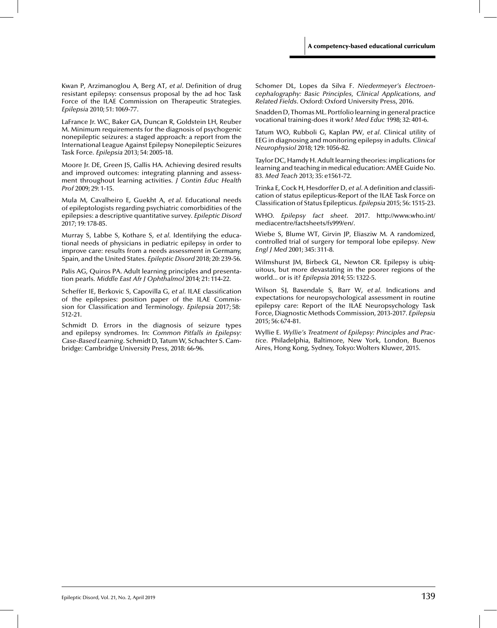Kwan P, Arzimanoglou A, Berg AT, *et al*. Definition of drug resistant epilepsy: consensus proposal by the ad hoc Task Force of the ILAE Commission on Therapeutic Strategies*. Epilepsia* 2010; 51: 1069-77.

LaFrance Jr. WC, Baker GA, Duncan R, Goldstein LH, Reuber M. Minimum requirements for the diagnosis of psychogenic nonepileptic seizures: a staged approach: a report from the International League Against Epilepsy Nonepileptic Seizures Task Force*. Epilepsia* 2013; 54: 2005-18.

Moore Jr. DE, Green JS, Gallis HA. Achieving desired results and improved outcomes: integrating planning and assessment throughout learning activities*. J Contin Educ Health Prof* 2009; 29: 1-15.

Mula M, Cavalheiro E, Guekht A, *et al*. Educational needs of epileptologists regarding psychiatric comorbidities of the epilepsies: a descriptive quantitative survey*. Epileptic Disord* 2017; 19: 178-85.

Murray S, Labbe S, Kothare S, *et al*. Identifying the educational needs of physicians in pediatric epilepsy in order to improve care: results from a needs assessment in Germany, Spain, and the United States*. Epileptic Disord* 2018; 20: 239-56.

Palis AG, Quiros PA. Adult learning principles and presentation pearls*. Middle East Afr J Ophthalmol* 2014; 21: 114-22.

Scheffer IE, Berkovic S, Capovilla G, *et al*. ILAE classification of the epilepsies: position paper of the ILAE Commission for Classification and Terminology*. Epilepsia* 2017; 58: 512-21.

Schmidt D. Errors in the diagnosis of seizure types and epilepsy syndromes. In: *Common Pitfalls in Epilepsy: Case-Based Learning*. Schmidt D, Tatum W, Schachter S. Cambridge: Cambridge University Press, 2018: 66-96.

Schomer DL, Lopes da Silva F*. Niedermeyer's Electroencephalography: Basic Principles, Clinical Applications, and Related Fields*. Oxford: Oxford University Press, 2016.

Snadden D, Thomas ML. Portfolio learning in general practice vocational training-does it work? *Med Educ* 1998; 32: 401-6.

Tatum WO, Rubboli G, Kaplan PW, *et al*. Clinical utility of EEG in diagnosing and monitoring epilepsy in adults*. Clinical Neurophysiol* 2018; 129: 1056-82.

Taylor DC, Hamdy H. Adult learning theories: implications for learning and teaching in medical education: AMEE Guide No. 83*. Med Teach* 2013; 35: e1561-72.

Trinka E, Cock H, Hesdorffer D, *et al*. A definition and classification of status epilepticus-Report of the ILAE Task Force on Classification of Status Epilepticus*. Epilepsia* 2015; 56: 1515-23.

WHO. *Epilepsy fact sheet*. 2017. http://www.who.int/ mediacentre/factsheets/fs999/en/.

Wiebe S, Blume WT, Girvin JP, Eliasziw M. A randomized, controlled trial of surgery for temporal lobe epilepsy*. New Engl J Med* 2001; 345: 311-8.

Wilmshurst JM, Birbeck GL, Newton CR. Epilepsy is ubiquitous, but more devastating in the poorer regions of the world... or is it? *Epilepsia* 2014; 55: 1322-5.

Wilson SJ, Baxendale S, Barr W, *et al*. Indications and expectations for neuropsychological assessment in routine epilepsy care: Report of the ILAE Neuropsychology Task Force, Diagnostic Methods Commission, 2013-2017*. Epilepsia* 2015; 56: 674-81.

Wyllie E*. Wyllie's Treatment of Epilepsy: Principles and Practice*. Philadelphia, Baltimore, New York, London, Buenos Aires, Hong Kong, Sydney, Tokyo: Wolters Kluwer, 2015.